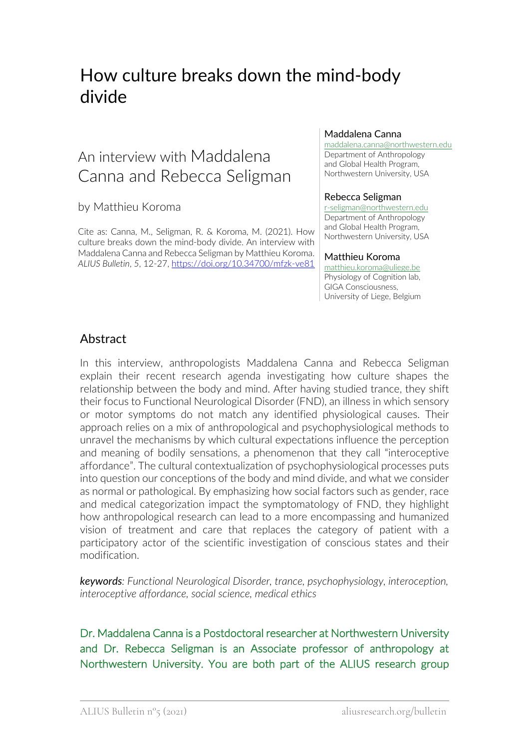# How culture breaks down the mind-body divide

## An interview with Maddalena Canna and Rebecca Seligman

#### by Matthieu Koroma

Cite as: Canna, M., Seligman, R. & Koroma, M. (2021). How culture breaks down the mind-body divide. An interview with Maddalena Canna and Rebecca Seligman by Matthieu Koroma. *ALIUS Bulletin*, *5*, 12-27, https://doi.org/10.34700/mfzk-ve81

#### Maddalena Canna

maddalena.canna@northwestern.edu Department of Anthropology and Global Health Program, Northwestern University, USA

#### Rebecca Seligman

r-seligman@northwestern.edu Department of Anthropology and Global Health Program, Northwestern University, USA

#### Matthieu Koroma

matthieu.koroma@uliege.be Physiology of Cognition lab, GIGA Consciousness, University of Liege, Belgium

## Abstract

In this interview, anthropologists Maddalena Canna and Rebecca Seligman explain their recent research agenda investigating how culture shapes the relationship between the body and mind. After having studied trance, they shift their focus to Functional Neurological Disorder (FND), an illness in which sensory or motor symptoms do not match any identified physiological causes. Their approach relies on a mix of anthropological and psychophysiological methods to unravel the mechanisms by which cultural expectations influence the perception and meaning of bodily sensations, a phenomenon that they call "interoceptive affordance". The cultural contextualization of psychophysiological processes puts into question our conceptions of the body and mind divide, and what we consider as normal or pathological. By emphasizing how social factors such as gender, race and medical categorization impact the symptomatology of FND, they highlight how anthropological research can lead to a more encompassing and humanized vision of treatment and care that replaces the category of patient with a participatory actor of the scientific investigation of conscious states and their modification.

*keywords: Functional Neurological Disorder, trance, psychophysiology, interoception, interoceptive affordance, social science, medical ethics*

Dr. Maddalena Canna is a Postdoctoral researcher at Northwestern University and Dr. Rebecca Seligman is an Associate professor of anthropology at Northwestern University. You are both part of the ALIUS research group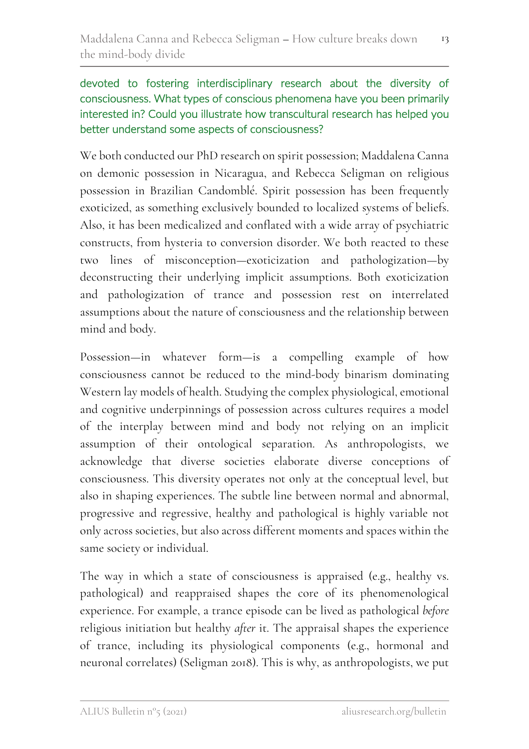## devoted to fostering interdisciplinary research about the diversity of consciousness. What types of conscious phenomena have you been primarily interested in? Could you illustrate how transcultural research has helped you better understand some aspects of consciousness?

We both conducted our PhD research on spirit possession; Maddalena Canna on demonic possession in Nicaragua, and Rebecca Seligman on religious possession in Brazilian Candomblé. Spirit possession has been frequently exoticized, as something exclusively bounded to localized systems of beliefs. Also, it has been medicalized and conflated with a wide array of psychiatric constructs, from hysteria to conversion disorder. We both reacted to these two lines of misconception—exoticization and pathologization—by deconstructing their underlying implicit assumptions. Both exoticization and pathologization of trance and possession rest on interrelated assumptions about the nature of consciousness and the relationship between mind and body.

Possession—in whatever form—is a compelling example of how consciousness cannot be reduced to the mind-body binarism dominating Western lay models of health. Studying the complex physiological, emotional and cognitive underpinnings of possession across cultures requires a model of the interplay between mind and body not relying on an implicit assumption of their ontological separation. As anthropologists, we acknowledge that diverse societies elaborate diverse conceptions of consciousness. This diversity operates not only at the conceptual level, but also in shaping experiences. The subtle line between normal and abnormal, progressive and regressive, healthy and pathological is highly variable not only across societies, but also across different moments and spaces within the same society or individual.

The way in which a state of consciousness is appraised (e.g., healthy vs. pathological) and reappraised shapes the core of its phenomenological experience. For example, a trance episode can be lived as pathological *before* religious initiation but healthy *after* it. The appraisal shapes the experience of trance, including its physiological components (e.g., hormonal and neuronal correlates) (Seligman 2018). This is why, as anthropologists, we put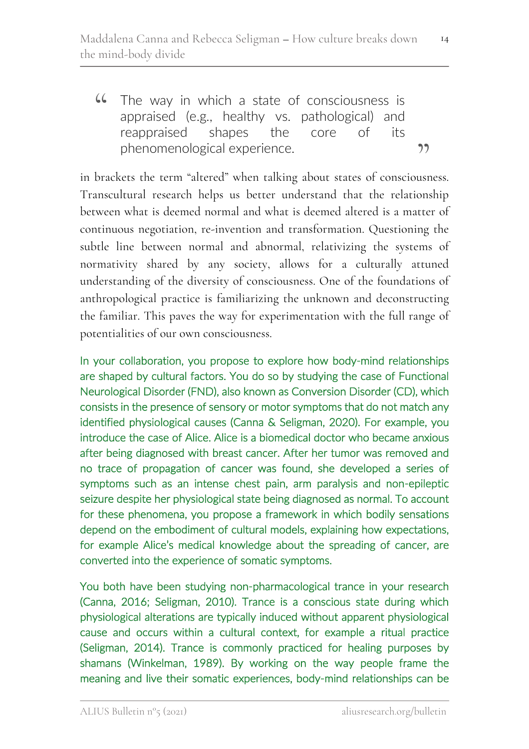phenomenological experience.<br>
in brackets the term "altered" when talking about states of consciousness. **44** The way in which a state of consciousness is<br>appraised (e.g., healthy vs. pathological) and appraised (e.g., healthy vs. pathological) and reappraised shapes the core of its phenomenological experience.

Transcultural research helps us better understand that the relationship between what is deemed normal and what is deemed altered is a matter of continuous negotiation, re-invention and transformation. Questioning the subtle line between normal and abnormal, relativizing the systems of normativity shared by any society, allows for a culturally attuned understanding of the diversity of consciousness. One of the foundations of anthropological practice is familiarizing the unknown and deconstructing the familiar. This paves the way for experimentation with the full range of potentialities of our own consciousness.

In your collaboration, you propose to explore how body-mind relationships are shaped by cultural factors. You do so by studying the case of Functional Neurological Disorder (FND), also known as Conversion Disorder (CD), which consists in the presence of sensory or motor symptoms that do not match any identified physiological causes (Canna & Seligman, 2020). For example, you introduce the case of Alice. Alice is a biomedical doctor who became anxious after being diagnosed with breast cancer. After her tumor was removed and no trace of propagation of cancer was found, she developed a series of symptoms such as an intense chest pain, arm paralysis and non-epileptic seizure despite her physiological state being diagnosed as normal. To account for these phenomena, you propose a framework in which bodily sensations depend on the embodiment of cultural models, explaining how expectations, for example Alice's medical knowledge about the spreading of cancer, are converted into the experience of somatic symptoms.

You both have been studying non-pharmacological trance in your research (Canna, 2016; Seligman, 2010). Trance is a conscious state during which physiological alterations are typically induced without apparent physiological cause and occurs within a cultural context, for example a ritual practice (Seligman, 2014). Trance is commonly practiced for healing purposes by shamans (Winkelman, 1989). By working on the way people frame the meaning and live their somatic experiences, body-mind relationships can be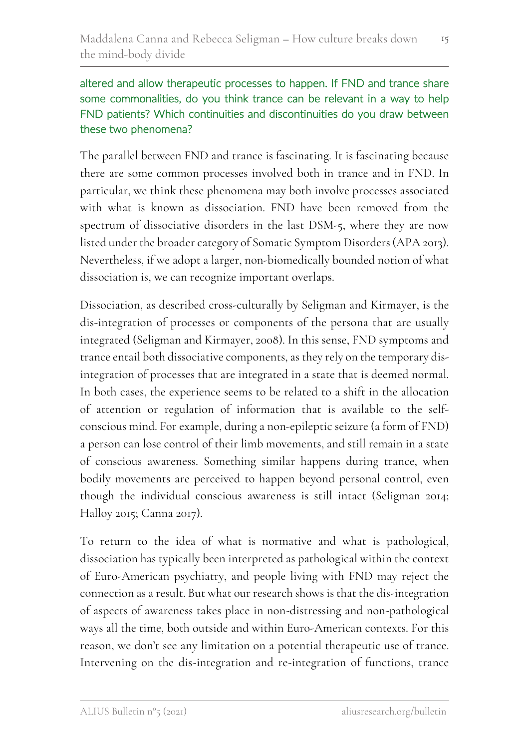## altered and allow therapeutic processes to happen. If FND and trance share some commonalities, do you think trance can be relevant in a way to help FND patients? Which continuities and discontinuities do you draw between these two phenomena?

The parallel between FND and trance is fascinating. It is fascinating because there are some common processes involved both in trance and in FND. In particular, we think these phenomena may both involve processes associated with what is known as dissociation. FND have been removed from the spectrum of dissociative disorders in the last DSM-5, where they are now listed under the broader category of Somatic Symptom Disorders (APA 2013). Nevertheless, if we adopt a larger, non-biomedically bounded notion of what dissociation is, we can recognize important overlaps.

Dissociation, as described cross-culturally by Seligman and Kirmayer, is the dis-integration of processes or components of the persona that are usually integrated (Seligman and Kirmayer, 2008). In this sense, FND symptoms and trance entail both dissociative components, as they rely on the temporary disintegration of processes that are integrated in a state that is deemed normal. In both cases, the experience seems to be related to a shift in the allocation of attention or regulation of information that is available to the selfconscious mind. For example, during a non-epileptic seizure (a form of FND) a person can lose control of their limb movements, and still remain in a state of conscious awareness. Something similar happens during trance, when bodily movements are perceived to happen beyond personal control, even though the individual conscious awareness is still intact (Seligman 2014; Halloy 2015; Canna 2017).

To return to the idea of what is normative and what is pathological, dissociation has typically been interpreted as pathological within the context of Euro-American psychiatry, and people living with FND may reject the connection as a result. But what our research shows is that the dis-integration of aspects of awareness takes place in non-distressing and non-pathological ways all the time, both outside and within Euro-American contexts. For this reason, we don't see any limitation on a potential therapeutic use of trance. Intervening on the dis-integration and re-integration of functions, trance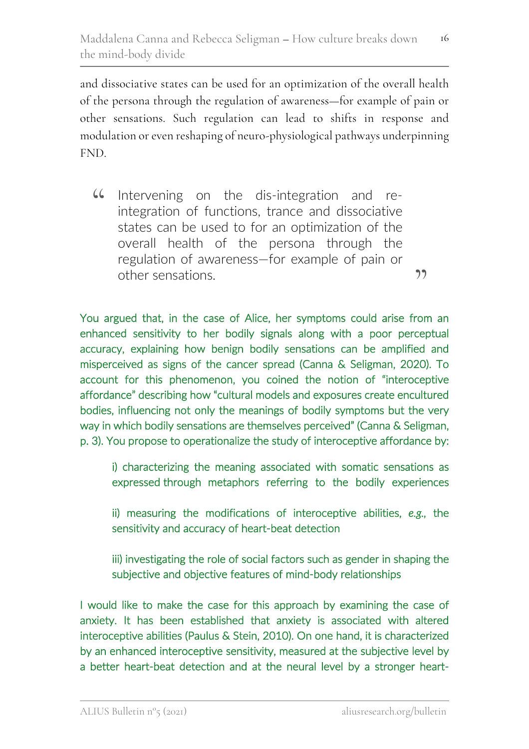and dissociative states can be used for an optimization of the overall health of the persona through the regulation of awareness—for example of pain or other sensations. Such regulation can lead to shifts in response and modulation or even reshaping of neuro-physiological pathways underpinning FND.

Intervening on the dis-integration and reintegration of functions, trance and dissociative states can be used to for an optimization of the overall health of the persona through the regulation of awareness—for example of pain or other sensations.  $66$  $"$ 

You argued that, in the case of Alice, her symptoms could arise from an enhanced sensitivity to her bodily signals along with a poor perceptual accuracy, explaining how benign bodily sensations can be amplified and misperceived as signs of the cancer spread (Canna & Seligman, 2020). To account for this phenomenon, you coined the notion of "interoceptive affordance" describing how "cultural models and exposures create encultured bodies, influencing not only the meanings of bodily symptoms but the very way in which bodily sensations are themselves perceived" (Canna & Seligman, p. 3). You propose to operationalize the study of interoceptive affordance by:

 i) characterizing the meaning associated with somatic sensations as expressed through metaphors referring to the bodily experiences

 ii) measuring the modifications of interoceptive abilities, *e.g.,* the sensitivity and accuracy of heart-beat detection

 iii) investigating the role of social factors such as gender in shaping the subjective and objective features of mind-body relationships

I would like to make the case for this approach by examining the case of anxiety. It has been established that anxiety is associated with altered interoceptive abilities (Paulus & Stein, 2010). On one hand, it is characterized by an enhanced interoceptive sensitivity, measured at the subjective level by a better heart-beat detection and at the neural level by a stronger heart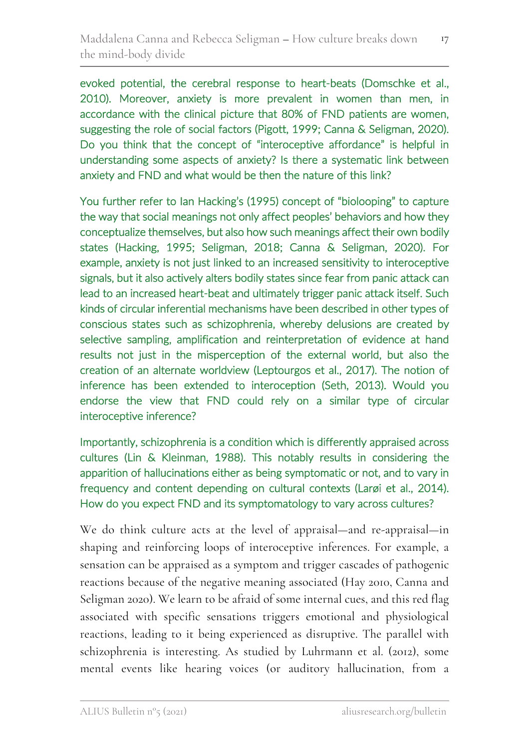evoked potential, the cerebral response to heart-beats (Domschke et al., 2010). Moreover, anxiety is more prevalent in women than men, in accordance with the clinical picture that 80% of FND patients are women, suggesting the role of social factors (Pigott, 1999; Canna & Seligman, 2020). Do you think that the concept of "interoceptive affordance" is helpful in understanding some aspects of anxiety? Is there a systematic link between anxiety and FND and what would be then the nature of this link?

You further refer to Ian Hacking's (1995) concept of "biolooping" to capture the way that social meanings not only affect peoples' behaviors and how they conceptualize themselves, but also how such meanings affect their own bodily states (Hacking, 1995; Seligman, 2018; Canna & Seligman, 2020). For example, anxiety is not just linked to an increased sensitivity to interoceptive signals, but it also actively alters bodily states since fear from panic attack can lead to an increased heart-beat and ultimately trigger panic attack itself. Such kinds of circular inferential mechanisms have been described in other types of conscious states such as schizophrenia, whereby delusions are created by selective sampling, amplification and reinterpretation of evidence at hand results not just in the misperception of the external world, but also the creation of an alternate worldview (Leptourgos et al., 2017). The notion of inference has been extended to interoception (Seth, 2013). Would you endorse the view that FND could rely on a similar type of circular interoceptive inference?

Importantly, schizophrenia is a condition which is differently appraised across cultures (Lin & Kleinman, 1988). This notably results in considering the apparition of hallucinations either as being symptomatic or not, and to vary in frequency and content depending on cultural contexts (Larøi et al., 2014). How do you expect FND and its symptomatology to vary across cultures?

We do think culture acts at the level of appraisal—and re-appraisal—in shaping and reinforcing loops of interoceptive inferences. For example, a sensation can be appraised as a symptom and trigger cascades of pathogenic reactions because of the negative meaning associated (Hay 2010, Canna and Seligman 2020). We learn to be afraid of some internal cues, and this red flag associated with specific sensations triggers emotional and physiological reactions, leading to it being experienced as disruptive. The parallel with schizophrenia is interesting. As studied by Luhrmann et al. (2012), some mental events like hearing voices (or auditory hallucination, from a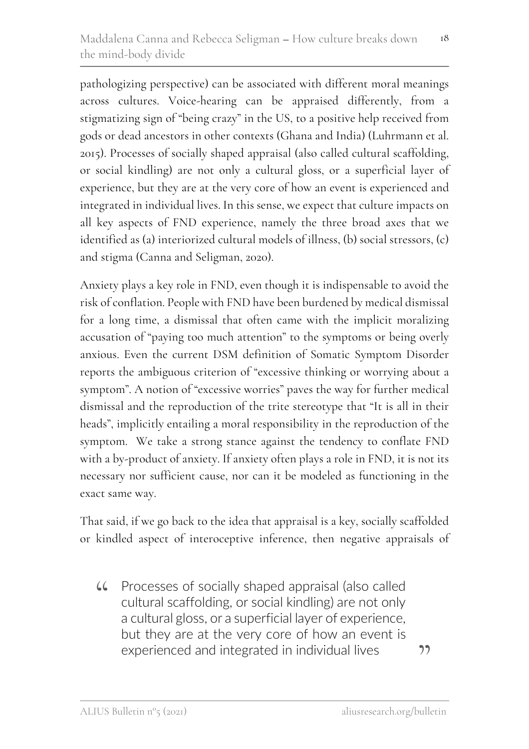pathologizing perspective) can be associated with different moral meanings across cultures. Voice-hearing can be appraised differently, from a stigmatizing sign of "being crazy" in the US, to a positive help received from gods or dead ancestors in other contexts (Ghana and India) (Luhrmann et al. 2015). Processes of socially shaped appraisal (also called cultural scaffolding, or social kindling) are not only a cultural gloss, or a superficial layer of experience, but they are at the very core of how an event is experienced and integrated in individual lives. In this sense, we expect that culture impacts on all key aspects of FND experience, namely the three broad axes that we identified as (a) interiorized cultural models of illness, (b) social stressors, (c) and stigma (Canna and Seligman, 2020).

Anxiety plays a key role in FND, even though it is indispensable to avoid the risk of conflation. People with FND have been burdened by medical dismissal for a long time, a dismissal that often came with the implicit moralizing accusation of "paying too much attention" to the symptoms or being overly anxious. Even the current DSM definition of Somatic Symptom Disorder reports the ambiguous criterion of "excessive thinking or worrying about a symptom". A notion of "excessive worries" paves the way for further medical dismissal and the reproduction of the trite stereotype that "It is all in their heads", implicitly entailing a moral responsibility in the reproduction of the symptom. We take a strong stance against the tendency to conflate FND with a by-product of anxiety. If anxiety often plays a role in FND, it is not its necessary nor sufficient cause, nor can it be modeled as functioning in the exact same way.

That said, if we go back to the idea that appraisal is a key, socially scaffolded or kindled aspect of interoceptive inference, then negative appraisals of

Processes of socially shaped appraisal (also called cultural scaffolding, or social kindling) are not only a cultural gloss, or a superficial layer of experience, but they are at the very core of how an event is experienced and integrated in individual lives  $\epsilon$ 

"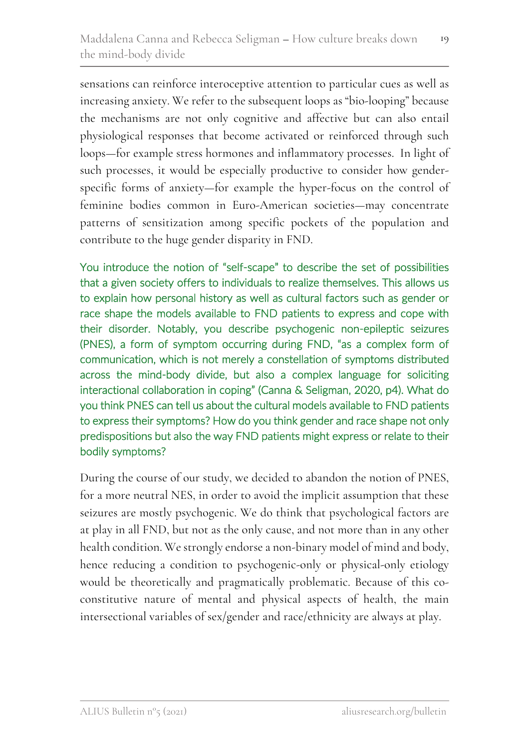sensations can reinforce interoceptive attention to particular cues as well as increasing anxiety. We refer to the subsequent loops as "bio-looping" because the mechanisms are not only cognitive and affective but can also entail physiological responses that become activated or reinforced through such loops—for example stress hormones and inflammatory processes. In light of such processes, it would be especially productive to consider how genderspecific forms of anxiety—for example the hyper-focus on the control of feminine bodies common in Euro-American societies—may concentrate patterns of sensitization among specific pockets of the population and contribute to the huge gender disparity in FND.

You introduce the notion of "self-scape" to describe the set of possibilities that a given society offers to individuals to realize themselves. This allows us to explain how personal history as well as cultural factors such as gender or race shape the models available to FND patients to express and cope with their disorder. Notably, you describe psychogenic non-epileptic seizures (PNES), a form of symptom occurring during FND, "as a complex form of communication, which is not merely a constellation of symptoms distributed across the mind-body divide, but also a complex language for soliciting interactional collaboration in coping" (Canna & Seligman, 2020, p4). What do you think PNES can tell us about the cultural models available to FND patients to express their symptoms? How do you think gender and race shape not only predispositions but also the way FND patients might express or relate to their bodily symptoms?

During the course of our study, we decided to abandon the notion of PNES, for a more neutral NES, in order to avoid the implicit assumption that these seizures are mostly psychogenic. We do think that psychological factors are at play in all FND, but not as the only cause, and not more than in any other health condition. We strongly endorse a non-binary model of mind and body, hence reducing a condition to psychogenic-only or physical-only etiology would be theoretically and pragmatically problematic. Because of this coconstitutive nature of mental and physical aspects of health, the main intersectional variables of sex/gender and race/ethnicity are always at play.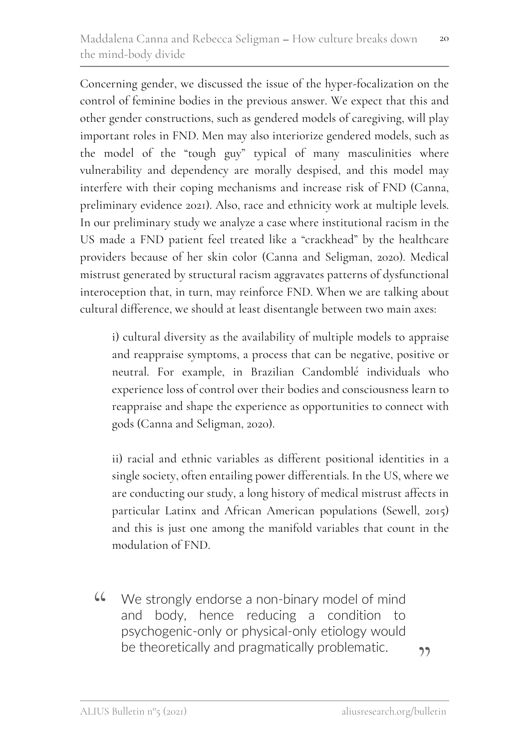Concerning gender, we discussed the issue of the hyper-focalization on the control of feminine bodies in the previous answer. We expect that this and other gender constructions, such as gendered models of caregiving, will play important roles in FND. Men may also interiorize gendered models, such as the model of the "tough guy" typical of many masculinities where vulnerability and dependency are morally despised, and this model may interfere with their coping mechanisms and increase risk of FND (Canna, preliminary evidence 2021). Also, race and ethnicity work at multiple levels. In our preliminary study we analyze a case where institutional racism in the US made a FND patient feel treated like a "crackhead" by the healthcare providers because of her skin color (Canna and Seligman, 2020). Medical mistrust generated by structural racism aggravates patterns of dysfunctional interoception that, in turn, may reinforce FND. When we are talking about cultural difference, we should at least disentangle between two main axes:

i) cultural diversity as the availability of multiple models to appraise and reappraise symptoms, a process that can be negative, positive or neutral. For example, in Brazilian Candomblé individuals who experience loss of control over their bodies and consciousness learn to reappraise and shape the experience as opportunities to connect with gods (Canna and Seligman, 2020).

ii) racial and ethnic variables as different positional identities in a single society, often entailing power differentials. In the US, where we are conducting our study, a long history of medical mistrust affects in particular Latinx and African American populations (Sewell, 2015) and this is just one among the manifold variables that count in the modulation of FND.

We strongly endorse a non-binary model of mind and body, hence reducing a condition to psychogenic-only or physical-only etiology would be theoretically and pragmatically problematic.  $66$ 

่<br>")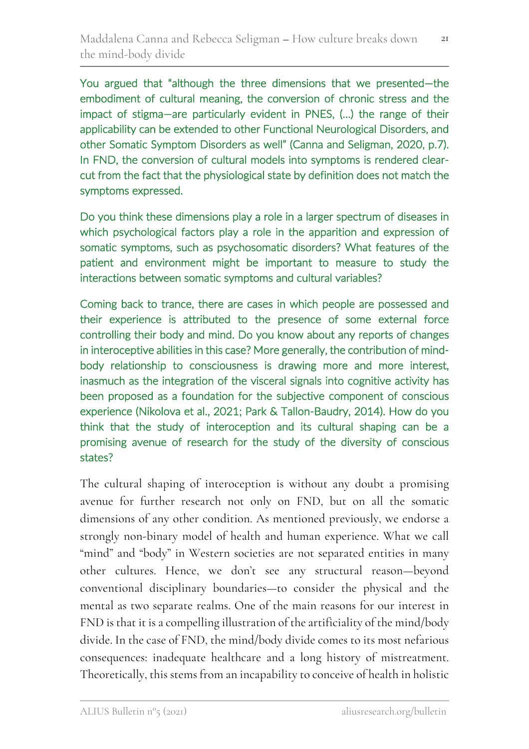You argued that "although the three dimensions that we presented—the embodiment of cultural meaning, the conversion of chronic stress and the impact of stigma—are particularly evident in PNES, (…) the range of their applicability can be extended to other Functional Neurological Disorders, and other Somatic Symptom Disorders as well" (Canna and Seligman, 2020, p.7). In FND, the conversion of cultural models into symptoms is rendered clearcut from the fact that the physiological state by definition does not match the symptoms expressed.

Do you think these dimensions play a role in a larger spectrum of diseases in which psychological factors play a role in the apparition and expression of somatic symptoms, such as psychosomatic disorders? What features of the patient and environment might be important to measure to study the interactions between somatic symptoms and cultural variables?

Coming back to trance, there are cases in which people are possessed and their experience is attributed to the presence of some external force controlling their body and mind. Do you know about any reports of changes in interoceptive abilities in this case? More generally, the contribution of mindbody relationship to consciousness is drawing more and more interest, inasmuch as the integration of the visceral signals into cognitive activity has been proposed as a foundation for the subjective component of conscious experience (Nikolova et al., 2021; Park & Tallon-Baudry, 2014). How do you think that the study of interoception and its cultural shaping can be a promising avenue of research for the study of the diversity of conscious states?

The cultural shaping of interoception is without any doubt a promising avenue for further research not only on FND, but on all the somatic dimensions of any other condition. As mentioned previously, we endorse a strongly non-binary model of health and human experience. What we call "mind" and "body" in Western societies are not separated entities in many other cultures. Hence, we don't see any structural reason—beyond conventional disciplinary boundaries—to consider the physical and the mental as two separate realms. One of the main reasons for our interest in FND is that it is a compelling illustration of the artificiality of the mind/body divide. In the case of FND, the mind/body divide comes to its most nefarious consequences: inadequate healthcare and a long history of mistreatment. Theoretically, this stems from an incapability to conceive of health in holistic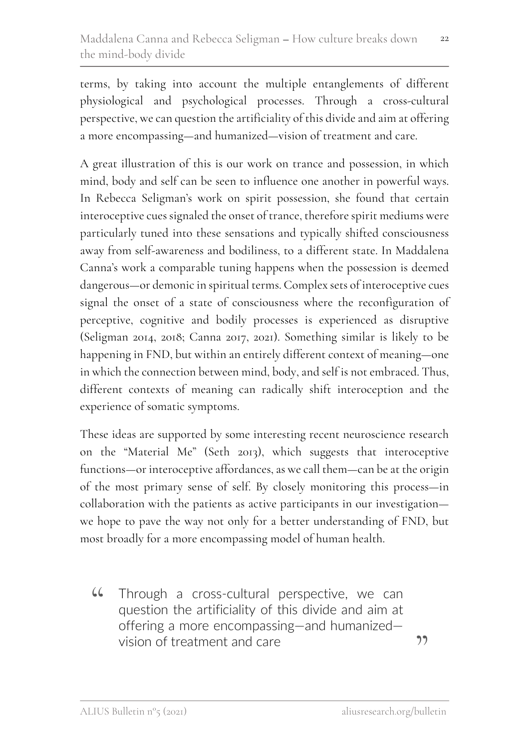terms, by taking into account the multiple entanglements of different physiological and psychological processes. Through a cross-cultural perspective, we can question the artificiality of this divide and aim at offering a more encompassing—and humanized—vision of treatment and care.

A great illustration of this is our work on trance and possession, in which mind, body and self can be seen to influence one another in powerful ways. In Rebecca Seligman's work on spirit possession, she found that certain interoceptive cues signaled the onset of trance, therefore spirit mediums were particularly tuned into these sensations and typically shifted consciousness away from self-awareness and bodiliness, to a different state. In Maddalena Canna's work a comparable tuning happens when the possession is deemed dangerous—or demonic in spiritual terms. Complex sets of interoceptive cues signal the onset of a state of consciousness where the reconfiguration of perceptive, cognitive and bodily processes is experienced as disruptive (Seligman 2014, 2018; Canna 2017, 2021). Something similar is likely to be happening in FND, but within an entirely different context of meaning—one in which the connection between mind, body, and self is not embraced. Thus, different contexts of meaning can radically shift interoception and the experience of somatic symptoms.

These ideas are supported by some interesting recent neuroscience research on the "Material Me" (Seth 2013), which suggests that interoceptive functions—or interoceptive affordances, as we call them—can be at the origin of the most primary sense of self. By closely monitoring this process—in collaboration with the patients as active participants in our investigation we hope to pave the way not only for a better understanding of FND, but most broadly for a more encompassing model of human health.

Through a cross-cultural perspective, we can question the artificiality of this divide and aim at offering a more encompassing—and humanized vision of treatment and care  $66$ 

 $22$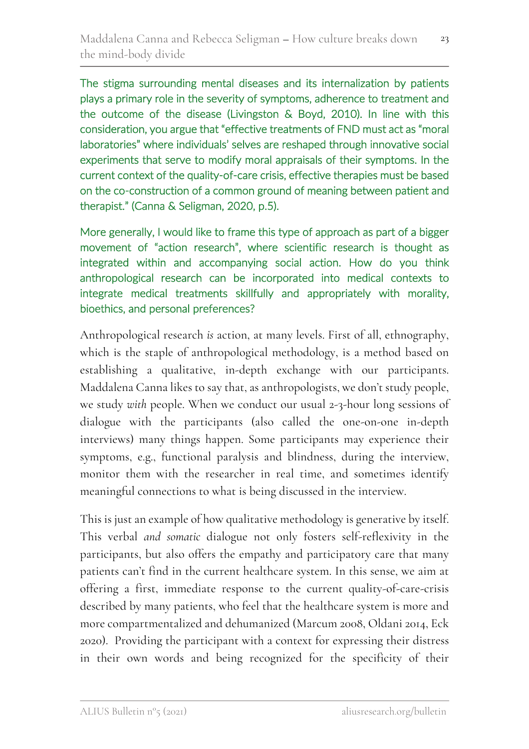The stigma surrounding mental diseases and its internalization by patients plays a primary role in the severity of symptoms, adherence to treatment and the outcome of the disease (Livingston & Boyd, 2010). In line with this consideration, you argue that "effective treatments of FND must act as "moral laboratories" where individuals' selves are reshaped through innovative social experiments that serve to modify moral appraisals of their symptoms. In the current context of the quality-of-care crisis, effective therapies must be based on the co-construction of a common ground of meaning between patient and therapist." (Canna & Seligman, 2020, p.5).

More generally, I would like to frame this type of approach as part of a bigger movement of "action research", where scientific research is thought as integrated within and accompanying social action. How do you think anthropological research can be incorporated into medical contexts to integrate medical treatments skillfully and appropriately with morality, bioethics, and personal preferences?

Anthropological research *is* action, at many levels. First of all, ethnography, which is the staple of anthropological methodology, is a method based on establishing a qualitative, in-depth exchange with our participants. Maddalena Canna likes to say that, as anthropologists, we don't study people, we study *with* people. When we conduct our usual 2-3-hour long sessions of dialogue with the participants (also called the one-on-one in-depth interviews) many things happen. Some participants may experience their symptoms, e.g., functional paralysis and blindness, during the interview, monitor them with the researcher in real time, and sometimes identify meaningful connections to what is being discussed in the interview.

This is just an example of how qualitative methodology is generative by itself. This verbal *and somatic* dialogue not only fosters self-reflexivity in the participants, but also offers the empathy and participatory care that many patients can't find in the current healthcare system. In this sense, we aim at offering a first, immediate response to the current quality-of-care-crisis described by many patients, who feel that the healthcare system is more and more compartmentalized and dehumanized (Marcum 2008, Oldani 2014, Eck 2020). Providing the participant with a context for expressing their distress in their own words and being recognized for the specificity of their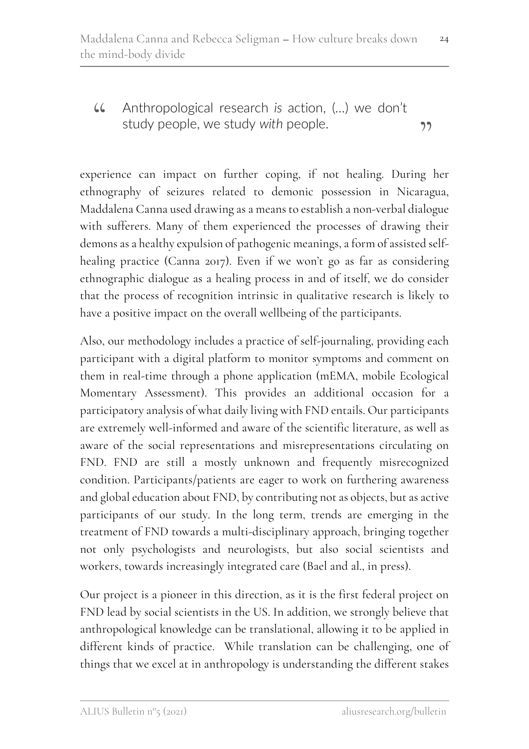Anthropological research *is* action, (…) we don't " study people, we study *with* people. **"** 

experience can impact on further coping, if not healing. During her ethnography of seizures related to demonic possession in Nicaragua, Maddalena Canna used drawing as a means to establish a non-verbal dialogue with sufferers. Many of them experienced the processes of drawing their demons as a healthy expulsion of pathogenic meanings, a form of assisted selfhealing practice (Canna 2017). Even if we won't go as far as considering ethnographic dialogue as a healing process in and of itself, we do consider that the process of recognition intrinsic in qualitative research is likely to have a positive impact on the overall wellbeing of the participants.

Also, our methodology includes a practice of self-journaling, providing each participant with a digital platform to monitor symptoms and comment on them in real-time through a phone application (mEMA, mobile Ecological Momentary Assessment). This provides an additional occasion for a participatory analysis of what daily living with FND entails. Our participants are extremely well-informed and aware of the scientific literature, as well as aware of the social representations and misrepresentations circulating on FND. FND are still a mostly unknown and frequently misrecognized condition. Participants/patients are eager to work on furthering awareness and global education about FND, by contributing not as objects, but as active participants of our study. In the long term, trends are emerging in the treatment of FND towards a multi-disciplinary approach, bringing together not only psychologists and neurologists, but also social scientists and workers, towards increasingly integrated care (Bael and al., in press).

Our project is a pioneer in this direction, as it is the first federal project on FND lead by social scientists in the US. In addition, we strongly believe that anthropological knowledge can be translational, allowing it to be applied in different kinds of practice. While translation can be challenging, one of things that we excel at in anthropology is understanding the different stakes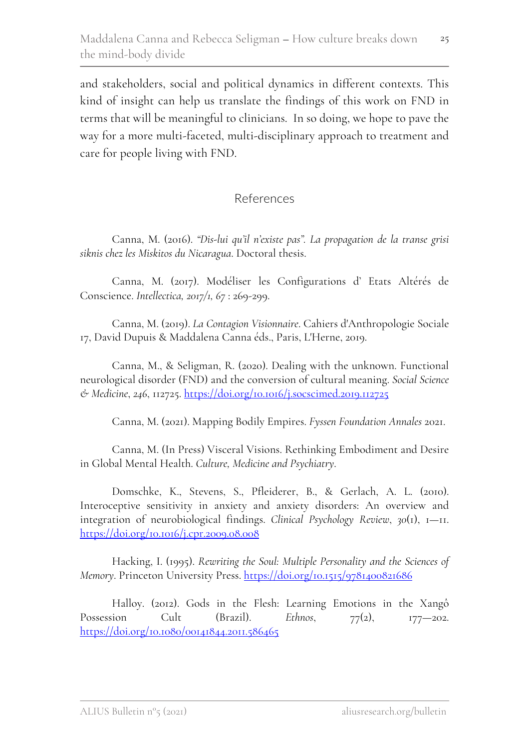and stakeholders, social and political dynamics in different contexts. This kind of insight can help us translate the findings of this work on FND in terms that will be meaningful to clinicians. In so doing, we hope to pave the way for a more multi-faceted, multi-disciplinary approach to treatment and care for people living with FND.

### References

Canna, M. (2016). *"Dis-lui qu'il n'existe pas". La propagation de la transe grisi siknis chez les Miskitos du Nicaragua*. Doctoral thesis.

Canna, M. (2017). Modéliser les Configurations d' Etats Altérés de Conscience. *Intellectica, 2017/1, 67* : 269-299.

Canna, M. (2019). *La Contagion Visionnaire*. Cahiers d'Anthropologie Sociale 17, David Dupuis & Maddalena Canna éds., Paris, L'Herne, 2019.

Canna, M., & Seligman, R. (2020). Dealing with the unknown. Functional neurological disorder (FND) and the conversion of cultural meaning. *Social Science & Medicine*, *246*, 112725. https://doi.org/10.1016/j.socscimed.2019.112725

Canna, M. (2021). Mapping Bodily Empires. *Fyssen Foundation Annales* 2021.

Canna, M. (In Press) Visceral Visions. Rethinking Embodiment and Desire in Global Mental Health. *Culture, Medicine and Psychiatry*.

Domschke, K., Stevens, S., Pfleiderer, B., & Gerlach, A. L. (2010). Interoceptive sensitivity in anxiety and anxiety disorders: An overview and integration of neurobiological findings. *Clinical Psychology Review*, *30*(1), 1—11. https://doi.org/10.1016/j.cpr.2009.08.008

Hacking, I. (1995). *Rewriting the Soul: Multiple Personality and the Sciences of Memory*. Princeton University Press. https://doi.org/10.1515/9781400821686

Halloy. (2012). Gods in the Flesh: Learning Emotions in the Xangô Possession Cult (Brazil). *Ethnos*,  $77(2)$ ,  $177-202$ . https://doi.org/10.1080/00141844.2011.586465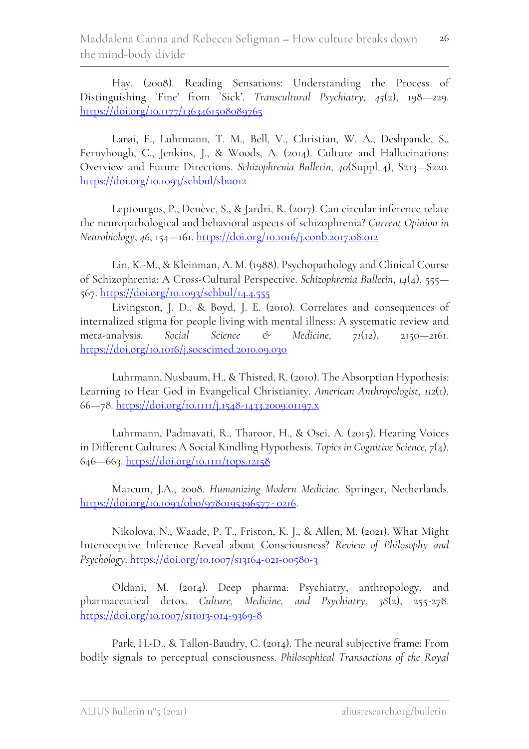Hay. (2008). Reading Sensations: Understanding the Process of Distinguishing `Fine' from `Sick'. *Transcultural Psychiatry, 45*(2), 198—229. https://doi.org/10.1177/1363461508089765

Larøi, F., Luhrmann, T. M., Bell, V., Christian, W. A., Deshpande, S., Fernyhough, C., Jenkins, J., & Woods, A. (2014). Culture and Hallucinations: Overview and Future Directions. *Schizophrenia Bulletin*, *40*(Suppl\_4), S213—S220. https://doi.org/10.1093/schbul/sbu012

Leptourgos, P., Denève, S., & Jardri, R. (2017). Can circular inference relate the neuropathological and behavioral aspects of schizophrenia? *Current Opinion in Neurobiology*, *46*, 154—161. https://doi.org/10.1016/j.conb.2017.08.012

Lin, K.-M., & Kleinman, A. M. (1988). Psychopathology and Clinical Course of Schizophrenia: A Cross-Cultural Perspective. *Schizophrenia Bulletin*, *14*(4), 555— 567. https://doi.org/10.1093/schbul/14.4.555

Livingston, J. D., & Boyd, J. E. (2010). Correlates and consequences of internalized stigma for people living with mental illness: A systematic review and meta-analysis. *Social Science & Medicine*, *71*(12), 2150—2161. https://doi.org/10.1016/j.socscimed.2010.09.030

Luhrmann, Nusbaum, H., & Thisted, R. (2010). The Absorption Hypothesis: Learning to Hear God in Evangelical Christianity. *American Anthropologist, 112*(1), 66—78. https://doi.org/10.1111/j.1548-1433.2009.01197.x

Luhrmann, Padmavati, R., Tharoor, H., & Osei, A. (2015). Hearing Voices in Different Cultures: A Social Kindling Hypothesis. *Topics in Cognitive Science, 7*(4), 646—663. https://doi.org/10.1111/tops.12158

Marcum, J.A., 2008. *Humanizing Modern Medicine.* Springer, Netherlands. https://doi.org/10.1093/obo/9780195396577- 0216.

Nikolova, N., Waade, P. T., Friston, K. J., & Allen, M. (2021). What Might Interoceptive Inference Reveal about Consciousness? *Review of Philosophy and Psychology*. https://doi.org/10.1007/s13164-021-00580-3

Oldani, M. (2014). Deep pharma: Psychiatry, anthropology, and pharmaceutical detox. *Culture, Medicine, and Psychiatry*, *38*(2), 255-278. https://doi.org/10.1007/s11013-014-9369-8

Park, H.-D., & Tallon-Baudry, C. (2014). The neural subjective frame: From bodily signals to perceptual consciousness. *Philosophical Transactions of the Royal*